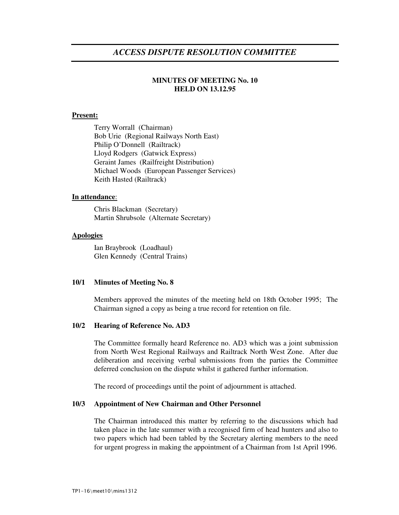# *ACCESS DISPUTE RESOLUTION COMMITTEE*

# **MINUTES OF MEETING No. 10 HELD ON 13.12.95**

### **Present:**

Terry Worrall (Chairman) Bob Urie (Regional Railways North East) Philip O'Donnell (Railtrack) Lloyd Rodgers (Gatwick Express) Geraint James (Railfreight Distribution) Michael Woods (European Passenger Services) Keith Hasted (Railtrack)

#### **In attendance**:

Chris Blackman (Secretary) Martin Shrubsole (Alternate Secretary)

### **Apologies**

Ian Braybrook (Loadhaul) Glen Kennedy (Central Trains)

#### **10/1 Minutes of Meeting No. 8**

Members approved the minutes of the meeting held on 18th October 1995; The Chairman signed a copy as being a true record for retention on file.

### **10/2 Hearing of Reference No. AD3**

The Committee formally heard Reference no. AD3 which was a joint submission from North West Regional Railways and Railtrack North West Zone. After due deliberation and receiving verbal submissions from the parties the Committee deferred conclusion on the dispute whilst it gathered further information.

The record of proceedings until the point of adjournment is attached.

#### **10/3 Appointment of New Chairman and Other Personnel**

The Chairman introduced this matter by referring to the discussions which had taken place in the late summer with a recognised firm of head hunters and also to two papers which had been tabled by the Secretary alerting members to the need for urgent progress in making the appointment of a Chairman from 1st April 1996.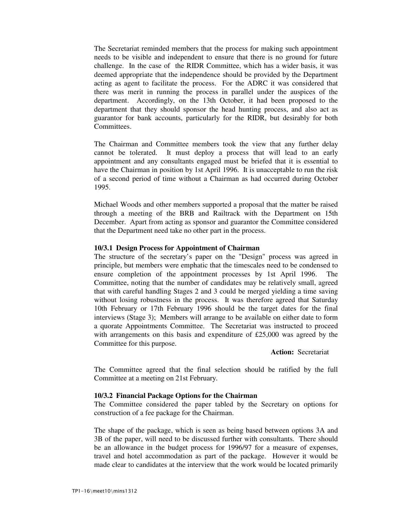The Secretariat reminded members that the process for making such appointment needs to be visible and independent to ensure that there is no ground for future challenge. In the case of the RIDR Committee, which has a wider basis, it was deemed appropriate that the independence should be provided by the Department acting as agent to facilitate the process. For the ADRC it was considered that there was merit in running the process in parallel under the auspices of the department. Accordingly, on the 13th October, it had been proposed to the department that they should sponsor the head hunting process, and also act as guarantor for bank accounts, particularly for the RIDR, but desirably for both Committees.

The Chairman and Committee members took the view that any further delay cannot be tolerated. It must deploy a process that will lead to an early appointment and any consultants engaged must be briefed that it is essential to have the Chairman in position by 1st April 1996. It is unacceptable to run the risk of a second period of time without a Chairman as had occurred during October 1995.

Michael Woods and other members supported a proposal that the matter be raised through a meeting of the BRB and Railtrack with the Department on 15th December. Apart from acting as sponsor and guarantor the Committee considered that the Department need take no other part in the process.

### **10/3.1 Design Process for Appointment of Chairman**

The structure of the secretary's paper on the "Design" process was agreed in principle, but members were emphatic that the timescales need to be condensed to ensure completion of the appointment processes by 1st April 1996. The Committee, noting that the number of candidates may be relatively small, agreed that with careful handling Stages 2 and 3 could be merged yielding a time saving without losing robustness in the process. It was therefore agreed that Saturday 10th February or 17th February 1996 should be the target dates for the final interviews (Stage 3); Members will arrange to be available on either date to form a quorate Appointments Committee. The Secretariat was instructed to proceed with arrangements on this basis and expenditure of £25,000 was agreed by the Committee for this purpose.

#### **Action:** Secretariat

The Committee agreed that the final selection should be ratified by the full Committee at a meeting on 21st February.

#### **10/3.2 Financial Package Options for the Chairman**

The Committee considered the paper tabled by the Secretary on options for construction of a fee package for the Chairman.

The shape of the package, which is seen as being based between options 3A and 3B of the paper, will need to be discussed further with consultants. There should be an allowance in the budget process for 1996/97 for a measure of expenses, travel and hotel accommodation as part of the package. However it would be made clear to candidates at the interview that the work would be located primarily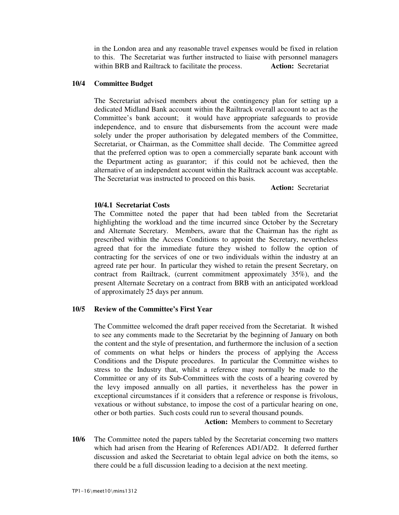in the London area and any reasonable travel expenses would be fixed in relation to this. The Secretariat was further instructed to liaise with personnel managers within BRB and Railtrack to facilitate the process. **Action:** Secretariat

## **10/4 Committee Budget**

The Secretariat advised members about the contingency plan for setting up a dedicated Midland Bank account within the Railtrack overall account to act as the Committee's bank account; it would have appropriate safeguards to provide independence, and to ensure that disbursements from the account were made solely under the proper authorisation by delegated members of the Committee, Secretariat, or Chairman, as the Committee shall decide. The Committee agreed that the preferred option was to open a commercially separate bank account with the Department acting as guarantor; if this could not be achieved, then the alternative of an independent account within the Railtrack account was acceptable. The Secretariat was instructed to proceed on this basis.

**Action:** Secretariat

### **10/4.1 Secretariat Costs**

The Committee noted the paper that had been tabled from the Secretariat highlighting the workload and the time incurred since October by the Secretary and Alternate Secretary. Members, aware that the Chairman has the right as prescribed within the Access Conditions to appoint the Secretary, nevertheless agreed that for the immediate future they wished to follow the option of contracting for the services of one or two individuals within the industry at an agreed rate per hour. In particular they wished to retain the present Secretary, on contract from Railtrack, (current commitment approximately 35%), and the present Alternate Secretary on a contract from BRB with an anticipated workload of approximately 25 days per annum.

# **10/5 Review of the Committee's First Year**

The Committee welcomed the draft paper received from the Secretariat. It wished to see any comments made to the Secretariat by the beginning of January on both the content and the style of presentation, and furthermore the inclusion of a section of comments on what helps or hinders the process of applying the Access Conditions and the Dispute procedures. In particular the Committee wishes to stress to the Industry that, whilst a reference may normally be made to the Committee or any of its Sub-Committees with the costs of a hearing covered by the levy imposed annually on all parties, it nevertheless has the power in exceptional circumstances if it considers that a reference or response is frivolous, vexatious or without substance, to impose the cost of a particular hearing on one, other or both parties. Such costs could run to several thousand pounds.

**Action:** Members to comment to Secretary

**10/6** The Committee noted the papers tabled by the Secretariat concerning two matters which had arisen from the Hearing of References AD1/AD2. It deferred further discussion and asked the Secretariat to obtain legal advice on both the items, so there could be a full discussion leading to a decision at the next meeting.